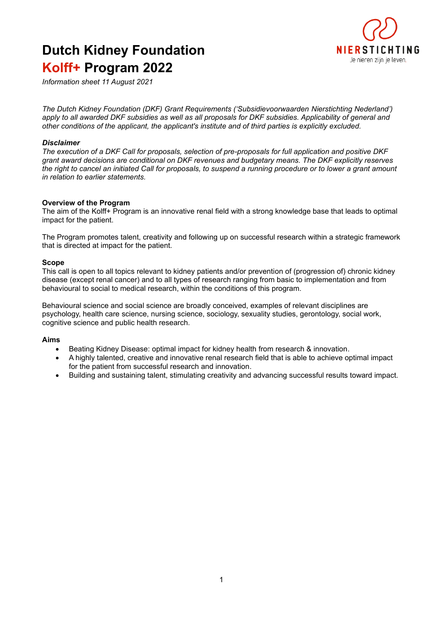# **Dutch Kidney Foundation Kolff+ Program 2022**



*Information sheet 11 August 2021* 

*The Dutch Kidney Foundation (DKF) Grant Requirements ('Subsidievoorwaarden Nierstichting Nederland') apply to all awarded DKF subsidies as well as all proposals for DKF subsidies. Applicability of general and other conditions of the applicant, the applicant's institute and of third parties is explicitly excluded.* 

# *Disclaimer*

*The execution of a DKF Call for proposals, selection of pre-proposals for full application and positive DKF grant award decisions are conditional on DKF revenues and budgetary means. The DKF explicitly reserves the right to cancel an initiated Call for proposals, to suspend a running procedure or to lower a grant amount in relation to earlier statements.* 

#### **Overview of the Program**

The aim of the Kolff+ Program is an innovative renal field with a strong knowledge base that leads to optimal impact for the patient.

The Program promotes talent, creativity and following up on successful research within a strategic framework that is directed at impact for the patient.

#### **Scope**

This call is open to all topics relevant to kidney patients and/or prevention of (progression of) chronic kidney disease (except renal cancer) and to all types of research ranging from basic to implementation and from behavioural to social to medical research, within the conditions of this program.

Behavioural science and social science are broadly conceived, examples of relevant disciplines are psychology, health care science, nursing science, sociology, sexuality studies, gerontology, social work, cognitive science and public health research.

#### **Aims**

- Beating Kidney Disease: optimal impact for kidney health from research & innovation.
- A highly talented, creative and innovative renal research field that is able to achieve optimal impact for the patient from successful research and innovation.
- Building and sustaining talent, stimulating creativity and advancing successful results toward impact.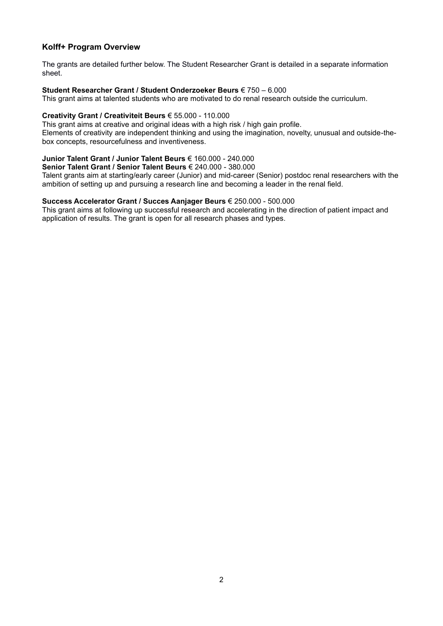# **Kolff+ Program Overview**

The grants are detailed further below. The Student Researcher Grant is detailed in a separate information sheet.

#### **Student Researcher Grant / Student Onderzoeker Beurs** € 750 – 6.000

This grant aims at talented students who are motivated to do renal research outside the curriculum.

#### **Creativity Grant / Creativiteit Beurs** € 55.000 - 110.000

This grant aims at creative and original ideas with a high risk / high gain profile. Elements of creativity are independent thinking and using the imagination, novelty, unusual and outside-the-

box concepts, resourcefulness and inventiveness.

# **Junior Talent Grant / Junior Talent Beurs** € 160.000 - 240.000

**Senior Talent Grant / Senior Talent Beurs** € 240.000 - 380.000

Talent grants aim at starting/early career (Junior) and mid-career (Senior) postdoc renal researchers with the ambition of setting up and pursuing a research line and becoming a leader in the renal field.

# **Success Accelerator Grant / Succes Aanjager Beurs** € 250.000 - 500.000

This grant aims at following up successful research and accelerating in the direction of patient impact and application of results. The grant is open for all research phases and types.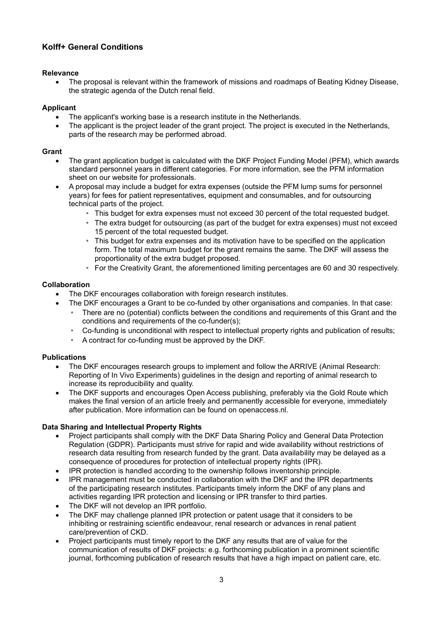# **Kolff+ General Conditions**

# **Relevance**

• The proposal is relevant within the framework of missions and roadmaps of Beating Kidney Disease, the strategic agenda of the Dutch renal field.

# **Applicant**

- The applicant's working base is a research institute in the Netherlands.
- The applicant is the project leader of the grant project. The project is executed in the Netherlands, parts of the research may be performed abroad.

# **Grant**

- The grant application budget is calculated with the DKF Project Funding Model (PFM), which awards standard personnel years in different categories. For more information, see the PFM information sheet on our website for professionals.
- A proposal may include a budget for extra expenses (outside the PFM lump sums for personnel years) for fees for patient representatives, equipment and consumables, and for outsourcing technical parts of the project.
	- This budget for extra expenses must not exceed 30 percent of the total requested budget.
	- The extra budget for outsourcing (as part of the budget for extra expenses) must not exceed 15 percent of the total requested budget.
	- This budget for extra expenses and its motivation have to be specified on the application form. The total maximum budget for the grant remains the same. The DKF will assess the proportionality of the extra budget proposed.
	- For the Creativity Grant, the aforementioned limiting percentages are 60 and 30 respectively.

# **Collaboration**

- The DKF encourages collaboration with foreign research institutes.
- The DKF encourages a Grant to be co-funded by other organisations and companies. In that case:
	- There are no (potential) conflicts between the conditions and requirements of this Grant and the conditions and requirements of the co-funder(s);
	- Co-funding is unconditional with respect to intellectual property rights and publication of results;
	- A contract for co-funding must be approved by the DKF.

# **Publications**

- The DKF encourages research groups to implement and follow the ARRIVE (Animal Research: Reporting of In Vivo Experiments) guidelines in the design and reporting of animal research to increase its reproducibility and quality.
- The DKF supports and encourages Open Access publishing, preferably via the Gold Route which makes the final version of an article freely and permanently accessible for everyone, immediately after publication. More information can be found on openaccess.nl.

# **Data Sharing and Intellectual Property Rights**

- Project participants shall comply with the DKF Data Sharing Policy and General Data Protection Regulation (GDPR). Participants must strive for rapid and wide availability without restrictions of research data resulting from research funded by the grant. Data availability may be delayed as a consequence of procedures for protection of intellectual property rights (IPR).
- IPR protection is handled according to the ownership follows inventorship principle.
- IPR management must be conducted in collaboration with the DKF and the IPR departments of the participating research institutes. Participants timely inform the DKF of any plans and activities regarding IPR protection and licensing or IPR transfer to third parties.
- The DKF will not develop an IPR portfolio.
- The DKF may challenge planned IPR protection or patent usage that it considers to be inhibiting or restraining scientific endeavour, renal research or advances in renal patient care/prevention of CKD.
- Project participants must timely report to the DKF any results that are of value for the communication of results of DKF projects: e.g. forthcoming publication in a prominent scientific journal, forthcoming publication of research results that have a high impact on patient care, etc.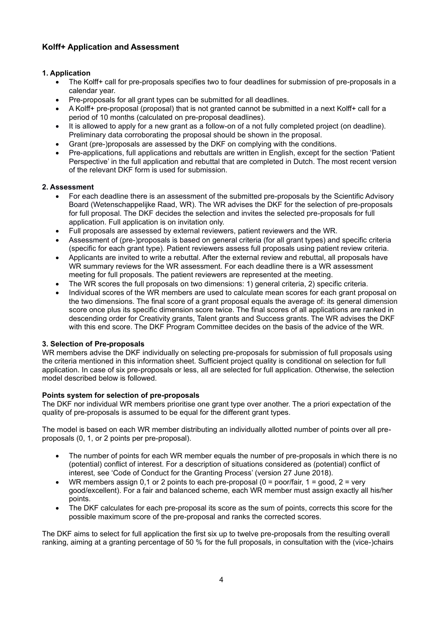# **Kolff+ Application and Assessment**

# **1. Application**

- The Kolff+ call for pre-proposals specifies two to four deadlines for submission of pre-proposals in a calendar year.
- Pre-proposals for all grant types can be submitted for all deadlines.
- A Kolff+ pre-proposal (proposal) that is not granted cannot be submitted in a next Kolff+ call for a period of 10 months (calculated on pre-proposal deadlines).
- It is allowed to apply for a new grant as a follow-on of a not fully completed project (on deadline). Preliminary data corroborating the proposal should be shown in the proposal.
- Grant (pre-)proposals are assessed by the DKF on complying with the conditions.
- Pre-applications, full applications and rebuttals are written in English, except for the section 'Patient Perspective' in the full application and rebuttal that are completed in Dutch. The most recent version of the relevant DKF form is used for submission.

# **2. Assessment**

- For each deadline there is an assessment of the submitted pre-proposals by the Scientific Advisory Board (Wetenschappelijke Raad, WR). The WR advises the DKF for the selection of pre-proposals for full proposal. The DKF decides the selection and invites the selected pre-proposals for full application. Full application is on invitation only.
- Full proposals are assessed by external reviewers, patient reviewers and the WR.
- Assessment of (pre-)proposals is based on general criteria (for all grant types) and specific criteria (specific for each grant type). Patient reviewers assess full proposals using patient review criteria.
- Applicants are invited to write a rebuttal. After the external review and rebuttal, all proposals have WR summary reviews for the WR assessment. For each deadline there is a WR assessment meeting for full proposals. The patient reviewers are represented at the meeting.
- The WR scores the full proposals on two dimensions: 1) general criteria, 2) specific criteria.
- Individual scores of the WR members are used to calculate mean scores for each grant proposal on the two dimensions. The final score of a grant proposal equals the average of: its general dimension score once plus its specific dimension score twice. The final scores of all applications are ranked in descending order for Creativity grants, Talent grants and Success grants. The WR advises the DKF with this end score. The DKF Program Committee decides on the basis of the advice of the WR.

# **3. Selection of Pre-proposals**

WR members advise the DKF individually on selecting pre-proposals for submission of full proposals using the criteria mentioned in this information sheet. Sufficient project quality is conditional on selection for full application. In case of six pre-proposals or less, all are selected for full application. Otherwise, the selection model described below is followed.

# **Points system for selection of pre-proposals**

The DKF nor individual WR members prioritise one grant type over another. The a priori expectation of the quality of pre-proposals is assumed to be equal for the different grant types.

The model is based on each WR member distributing an individually allotted number of points over all preproposals (0, 1, or 2 points per pre-proposal).

- The number of points for each WR member equals the number of pre-proposals in which there is no (potential) conflict of interest. For a description of situations considered as (potential) conflict of interest, see 'Code of Conduct for the Granting Process' (version 27 June 2018).
- WR members assign 0,1 or 2 points to each pre-proposal (0 = poor/fair, 1 = good, 2 = very good/excellent). For a fair and balanced scheme, each WR member must assign exactly all his/her points.
- The DKF calculates for each pre-proposal its score as the sum of points, corrects this score for the possible maximum score of the pre-proposal and ranks the corrected scores.

The DKF aims to select for full application the first six up to twelve pre-proposals from the resulting overall ranking, aiming at a granting percentage of 50 % for the full proposals, in consultation with the (vice-)chairs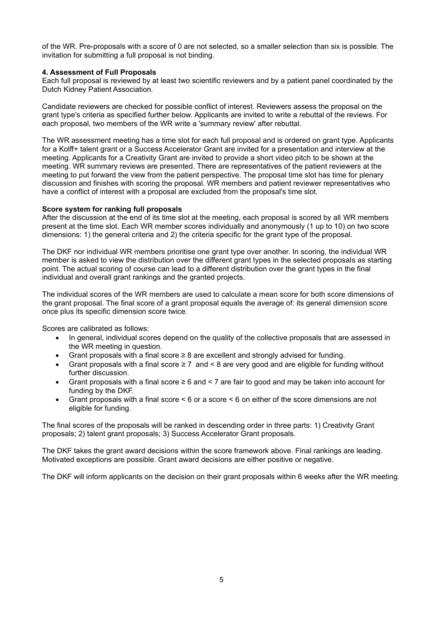of the WR. Pre-proposals with a score of 0 are not selected, so a smaller selection than six is possible. The invitation for submitting a full proposal is not binding.

#### **4. Assessment of Full Proposals**

Each full proposal is reviewed by at least two scientific reviewers and by a patient panel coordinated by the Dutch Kidney Patient Association.

Candidate reviewers are checked for possible conflict of interest. Reviewers assess the proposal on the grant type's criteria as specified further below. Applicants are invited to write a rebuttal of the reviews. For each proposal, two members of the WR write a 'summary review' after rebuttal.

The WR assessment meeting has a time slot for each full proposal and is ordered on grant type. Applicants for a Kolff+ talent grant or a Success Accelerator Grant are invited for a presentation and interview at the meeting. Applicants for a Creativity Grant are invited to provide a short video pitch to be shown at the meeting. WR summary reviews are presented. There are representatives of the patient reviewers at the meeting to put forward the view from the patient perspective. The proposal time slot has time for plenary discussion and finishes with scoring the proposal. WR members and patient reviewer representatives who have a conflict of interest with a proposal are excluded from the proposal's time slot.

#### **Score system for ranking full proposals**

After the discussion at the end of its time slot at the meeting, each proposal is scored by all WR members present at the time slot. Each WR member scores individually and anonymously (1 up to 10) on two score dimensions: 1) the general criteria and 2) the criteria specific for the grant type of the proposal.

The DKF nor individual WR members prioritise one grant type over another. In scoring, the individual WR member is asked to view the distribution over the different grant types in the selected proposals as starting point. The actual scoring of course can lead to a different distribution over the grant types in the final individual and overall grant rankings and the granted projects.

The individual scores of the WR members are used to calculate a mean score for both score dimensions of the grant proposal. The final score of a grant proposal equals the average of: its general dimension score once plus its specific dimension score twice.

Scores are calibrated as follows:

- In general, individual scores depend on the quality of the collective proposals that are assessed in the WR meeting in question.
- Grant proposals with a final score ≥ 8 are excellent and strongly advised for funding.
- Grant proposals with a final score  $\geq 7$  and < 8 are very good and are eligible for funding without further discussion.
- Grant proposals with a final score ≥ 6 and < 7 are fair to good and may be taken into account for funding by the DKF.
- Grant proposals with a final score < 6 or a score < 6 on either of the score dimensions are not eligible for funding.

The final scores of the proposals will be ranked in descending order in three parts: 1) Creativity Grant proposals; 2) talent grant proposals; 3) Success Accelerator Grant proposals.

The DKF takes the grant award decisions within the score framework above. Final rankings are leading. Motivated exceptions are possible. Grant award decisions are either positive or negative.

The DKF will inform applicants on the decision on their grant proposals within 6 weeks after the WR meeting.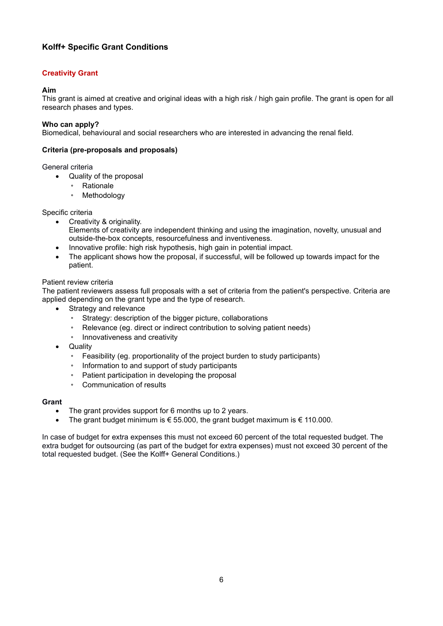# **Kolff+ Specific Grant Conditions**

# **Creativity Grant**

# **Aim**

This grant is aimed at creative and original ideas with a high risk / high gain profile. The grant is open for all research phases and types.

# **Who can apply?**

Biomedical, behavioural and social researchers who are interested in advancing the renal field.

# **Criteria (pre-proposals and proposals)**

# General criteria

- Quality of the proposal
	- Rationale
	- Methodology

# Specific criteria

- Creativity & originality. Elements of creativity are independent thinking and using the imagination, novelty, unusual and outside-the-box concepts, resourcefulness and inventiveness.
- Innovative profile: high risk hypothesis, high gain in potential impact.
- The applicant shows how the proposal, if successful, will be followed up towards impact for the patient.

# Patient review criteria

The patient reviewers assess full proposals with a set of criteria from the patient's perspective. Criteria are applied depending on the grant type and the type of research.

- Strategy and relevance
	- Strategy: description of the bigger picture, collaborations
	- Relevance (eg. direct or indirect contribution to solving patient needs)
	- Innovativeness and creativity
- Quality
	- Feasibility (eg. proportionality of the project burden to study participants)
	- Information to and support of study participants
	- Patient participation in developing the proposal
	- Communication of results

# **Grant**

- The grant provides support for 6 months up to 2 years.
- The grant budget minimum is  $\epsilon$  55.000, the grant budget maximum is  $\epsilon$  110.000.

In case of budget for extra expenses this must not exceed 60 percent of the total requested budget. The extra budget for outsourcing (as part of the budget for extra expenses) must not exceed 30 percent of the total requested budget. (See the Kolff+ General Conditions.)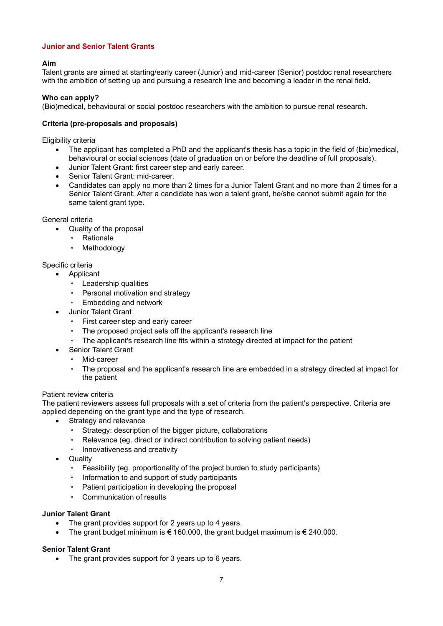# **Junior and Senior Talent Grants**

# **Aim**

Talent grants are aimed at starting/early career (Junior) and mid-career (Senior) postdoc renal researchers with the ambition of setting up and pursuing a research line and becoming a leader in the renal field.

#### **Who can apply?**

(Bio)medical, behavioural or social postdoc researchers with the ambition to pursue renal research.

#### **Criteria (pre-proposals and proposals)**

Eligibility criteria

- The applicant has completed a PhD and the applicant's thesis has a topic in the field of (bio)medical, behavioural or social sciences (date of graduation on or before the deadline of full proposals).
- Junior Talent Grant: first career step and early career.
- Senior Talent Grant: mid-career.
- Candidates can apply no more than 2 times for a Junior Talent Grant and no more than 2 times for a Senior Talent Grant. After a candidate has won a talent grant, he/she cannot submit again for the same talent grant type.

#### General criteria

- Quality of the proposal
	- Rationale
	- **Methodology**

# Specific criteria

- **Applicant** 
	- Leadership qualities
	- Personal motivation and strategy
	- Embedding and network
	- Junior Talent Grant
		- First career step and early career
		- The proposed project sets off the applicant's research line
		- The applicant's research line fits within a strategy directed at impact for the patient
		- Senior Talent Grant
			- Mid-career
			- The proposal and the applicant's research line are embedded in a strategy directed at impact for the patient

#### Patient review criteria

The patient reviewers assess full proposals with a set of criteria from the patient's perspective. Criteria are applied depending on the grant type and the type of research.

- Strategy and relevance
	- Strategy: description of the bigger picture, collaborations
	- Relevance (eg. direct or indirect contribution to solving patient needs)
	- Innovativeness and creativity
- **Quality** 
	- Feasibility (eg. proportionality of the project burden to study participants)
	- Information to and support of study participants
	- Patient participation in developing the proposal
	- Communication of results

#### **Junior Talent Grant**

- The grant provides support for 2 years up to 4 years.
- The grant budget minimum is  $\epsilon$  160.000, the grant budget maximum is  $\epsilon$  240.000.

# **Senior Talent Grant**

• The grant provides support for 3 years up to 6 years.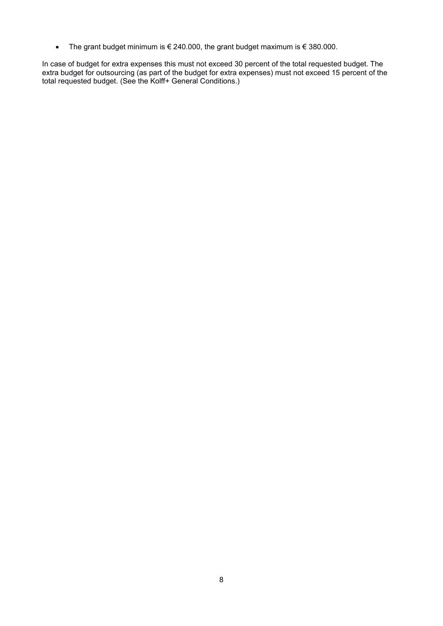• The grant budget minimum is € 240.000, the grant budget maximum is € 380.000.

In case of budget for extra expenses this must not exceed 30 percent of the total requested budget. The extra budget for outsourcing (as part of the budget for extra expenses) must not exceed 15 percent of the total requested budget. (See the Kolff+ General Conditions.)